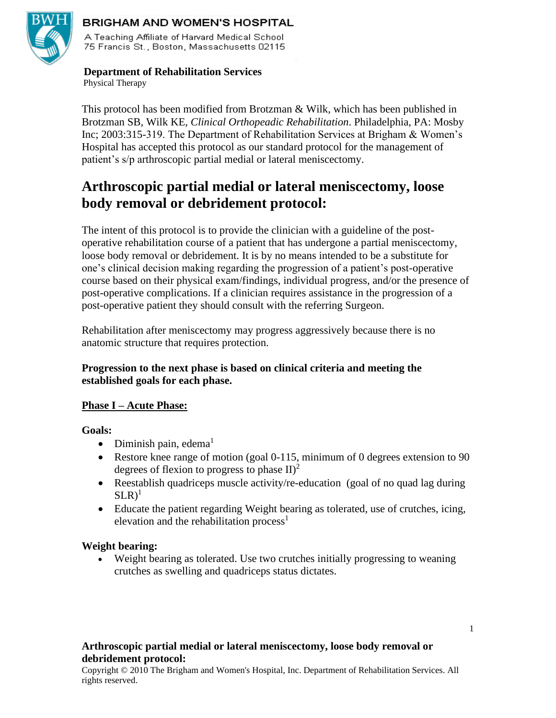

#### **BRIGHAM AND WOMEN'S HOSPITAL**

A Teaching Affiliate of Harvard Medical School 75 Francis St., Boston, Massachusetts 02115

# **Department of Rehabilitation Services**

Physical Therapy

This protocol has been modified from Brotzman & Wilk, which has been published in Brotzman SB, Wilk KE, *Clinical Orthopeadic Rehabilitation*. Philadelphia, PA: Mosby Inc; 2003:315-319. The Department of Rehabilitation Services at Brigham & Women's Hospital has accepted this protocol as our standard protocol for the management of patient's s/p arthroscopic partial medial or lateral meniscectomy.

# **Arthroscopic partial medial or lateral meniscectomy, loose body removal or debridement protocol:**

The intent of this protocol is to provide the clinician with a guideline of the postoperative rehabilitation course of a patient that has undergone a partial meniscectomy, loose body removal or debridement. It is by no means intended to be a substitute for one's clinical decision making regarding the progression of a patient's post-operative course based on their physical exam/findings, individual progress, and/or the presence of post-operative complications. If a clinician requires assistance in the progression of a post-operative patient they should consult with the referring Surgeon.

Rehabilitation after meniscectomy may progress aggressively because there is no anatomic structure that requires protection.

# **Progression to the next phase is based on clinical criteria and meeting the established goals for each phase.**

# **Phase I – Acute Phase:**

**Goals:** 

- Diminish pain, edema $<sup>1</sup>$ </sup>
- Restore knee range of motion (goal 0-115, minimum of 0 degrees extension to 90 degrees of flexion to progress to phase  $II)^2$
- Reestablish quadriceps muscle activity/re-education (goal of no quad lag during  $SLR$ <sup>1</sup>
- Educate the patient regarding Weight bearing as tolerated, use of crutches, icing, elevation and the rehabilitation process<sup>1</sup>

#### **Weight bearing:**

• Weight bearing as tolerated. Use two crutches initially progressing to weaning crutches as swelling and quadriceps status dictates.

# **Arthroscopic partial medial or lateral meniscectomy, loose body removal or debridement protocol:**

Copyright © 2010 The Brigham and Women's Hospital, Inc. Department of Rehabilitation Services. All rights reserved.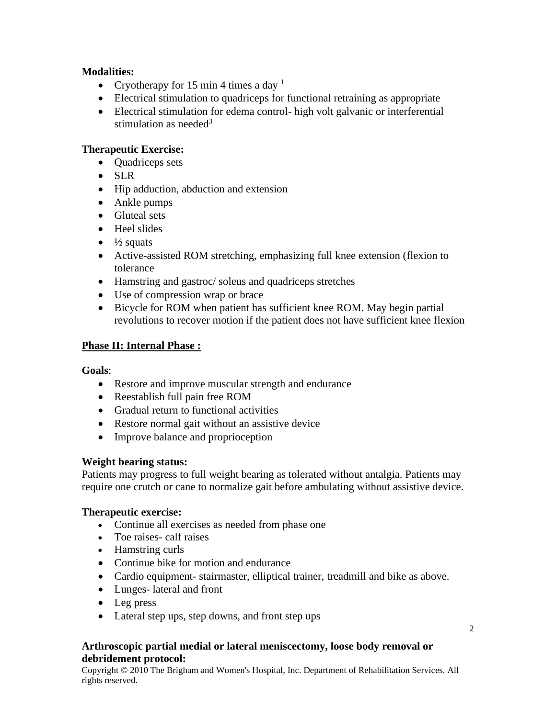# **Modalities:**

- Cryotherapy for 15 min 4 times a day  $<sup>1</sup>$ </sup>
- Electrical stimulation to quadriceps for functional retraining as appropriate
- Electrical stimulation for edema control- high volt galvanic or interferential stimulation as needed<sup>3</sup>

# **Therapeutic Exercise:**

- **Quadriceps sets**
- SLR
- Hip adduction, abduction and extension
- Ankle pumps
- Gluteal sets
- Heel slides
- $\bullet$   $\frac{1}{2}$  squats
- Active-assisted ROM stretching, emphasizing full knee extension (flexion to tolerance
- Hamstring and gastroc/ soleus and quadriceps stretches
- Use of compression wrap or brace
- Bicycle for ROM when patient has sufficient knee ROM. May begin partial revolutions to recover motion if the patient does not have sufficient knee flexion

# **Phase II: Internal Phase :**

# **Goals**:

- Restore and improve muscular strength and endurance
- Reestablish full pain free ROM
- Gradual return to functional activities
- Restore normal gait without an assistive device
- Improve balance and proprioception

# **Weight bearing status:**

Patients may progress to full weight bearing as tolerated without antalgia. Patients may require one crutch or cane to normalize gait before ambulating without assistive device.

# **Therapeutic exercise:**

- Continue all exercises as needed from phase one
- Toe raises- calf raises
- Hamstring curls
- Continue bike for motion and endurance
- Cardio equipment- stairmaster, elliptical trainer, treadmill and bike as above.
- Lunges- lateral and front
- Leg press
- Lateral step ups, step downs, and front step ups

# **Arthroscopic partial medial or lateral meniscectomy, loose body removal or debridement protocol:**

Copyright © 2010 The Brigham and Women's Hospital, Inc. Department of Rehabilitation Services. All rights reserved.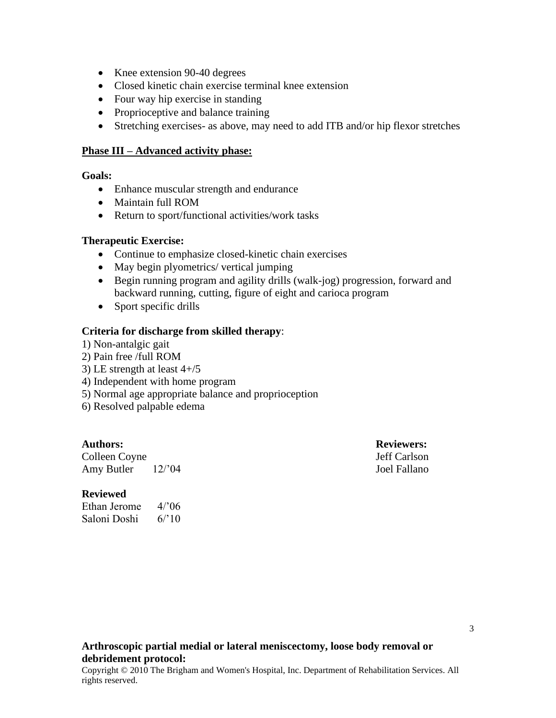- Knee extension 90-40 degrees
- Closed kinetic chain exercise terminal knee extension
- Four way hip exercise in standing
- Proprioceptive and balance training
- Stretching exercises- as above, may need to add ITB and/or hip flexor stretches

#### **Phase III – Advanced activity phase:**

#### **Goals:**

- Enhance muscular strength and endurance
- Maintain full ROM
- Return to sport/functional activities/work tasks

#### **Therapeutic Exercise:**

- Continue to emphasize closed-kinetic chain exercises
- May begin plyometrics/ vertical jumping
- Begin running program and agility drills (walk-jog) progression, forward and backward running, cutting, figure of eight and carioca program
- Sport specific drills

#### **Criteria for discharge from skilled therapy**:

1) Non-antalgic gait

2) Pain free /full ROM

- 3) LE strength at least  $4+/5$
- 4) Independent with home program
- 5) Normal age appropriate balance and proprioception
- 6) Resolved palpable edema

Colleen Coyne Jeff Carlson Amy Butler 12/'04 Joel Fallano

#### **Authors: Reviewers:**

#### **Reviewed**

Ethan Jerome 4/'06 Saloni Doshi 6/'10